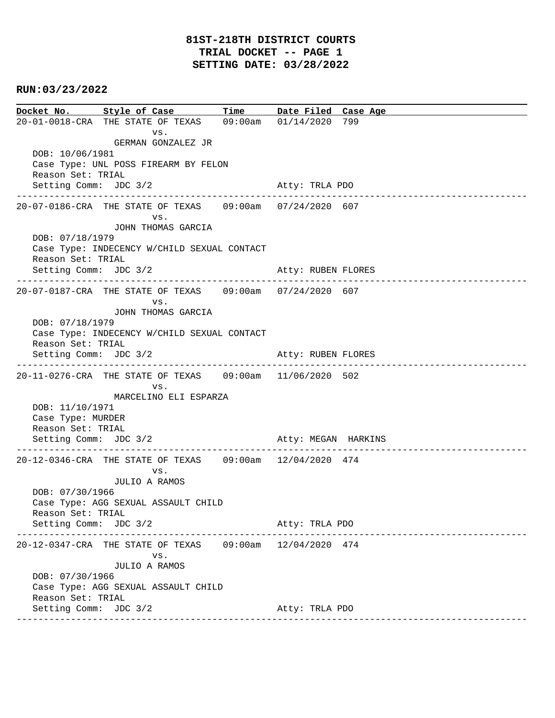## **RUN:03/23/2022**

**Docket No. Style of Case Time Date Filed Case Age**  20-01-0018-CRA THE STATE OF TEXAS 09:00am 01/14/2020 799 vs. GERMAN GONZALEZ JR DOB: 10/06/1981 Case Type: UNL POSS FIREARM BY FELON Reason Set: TRIAL Setting Comm: JDC 3/2 Atty: TRLA PDO ---------------------------------------------------------------------------------------------- 20-07-0186-CRA THE STATE OF TEXAS 09:00am 07/24/2020 607 vs. JOHN THOMAS GARCIA DOB: 07/18/1979 Case Type: INDECENCY W/CHILD SEXUAL CONTACT Reason Set: TRIAL Setting Comm: JDC 3/2 Atty: RUBEN FLORES ---------------------------------------------------------------------------------------------- 20-07-0187-CRA THE STATE OF TEXAS 09:00am 07/24/2020 607 vs. JOHN THOMAS GARCIA DOB: 07/18/1979 Case Type: INDECENCY W/CHILD SEXUAL CONTACT Reason Set: TRIAL Setting Comm: JDC 3/2 Atty: RUBEN FLORES ---------------------------------------------------------------------------------------------- 20-11-0276-CRA THE STATE OF TEXAS 09:00am 11/06/2020 502 vs. MARCELINO ELI ESPARZA DOB: 11/10/1971 Case Type: MURDER Reason Set: TRIAL Setting Comm: JDC 3/2 Atty: MEGAN HARKINS ---------------------------------------------------------------------------------------------- 20-12-0346-CRA THE STATE OF TEXAS 09:00am 12/04/2020 474 vs. JULIO A RAMOS DOB: 07/30/1966 Case Type: AGG SEXUAL ASSAULT CHILD Reason Set: TRIAL Setting Comm: JDC 3/2 Atty: TRLA PDO ---------------------------------------------------------------------------------------------- 20-12-0347-CRA THE STATE OF TEXAS 09:00am 12/04/2020 474 vs. JULIO A RAMOS DOB: 07/30/1966 Case Type: AGG SEXUAL ASSAULT CHILD Reason Set: TRIAL Setting Comm: JDC 3/2 Atty: TRLA PDO ----------------------------------------------------------------------------------------------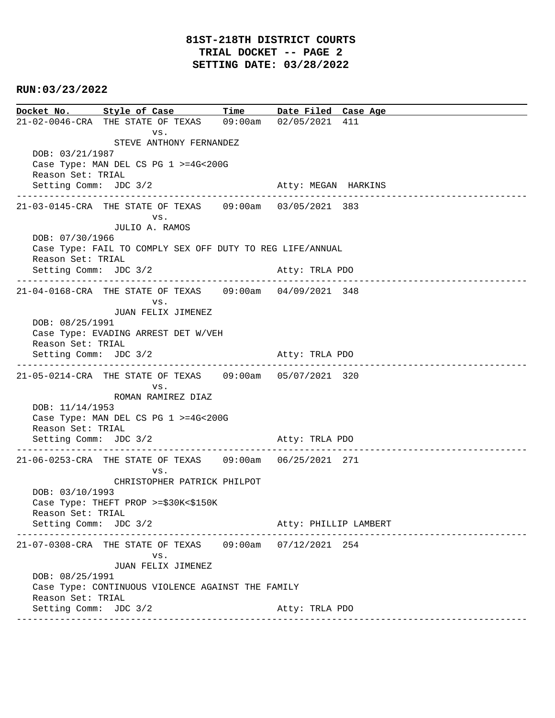## **RUN:03/23/2022**

**Docket No. Style of Case Time Date Filed Case Age**  21-02-0046-CRA THE STATE OF TEXAS 09:00am 02/05/2021 411 vs. STEVE ANTHONY FERNANDEZ DOB: 03/21/1987 Case Type: MAN DEL CS PG 1 >=4G<200G Reason Set: TRIAL Setting Comm: JDC 3/2 Atty: MEGAN HARKINS ---------------------------------------------------------------------------------------------- 21-03-0145-CRA THE STATE OF TEXAS 09:00am 03/05/2021 383 vs. JULIO A. RAMOS DOB: 07/30/1966 Case Type: FAIL TO COMPLY SEX OFF DUTY TO REG LIFE/ANNUAL Reason Set: TRIAL Setting Comm: JDC 3/2 Atty: TRLA PDO ---------------------------------------------------------------------------------------------- 21-04-0168-CRA THE STATE OF TEXAS 09:00am 04/09/2021 348 vs. JUAN FELIX JIMENEZ DOB: 08/25/1991 Case Type: EVADING ARREST DET W/VEH Reason Set: TRIAL Setting Comm: JDC 3/2 Atty: TRLA PDO ---------------------------------------------------------------------------------------------- 21-05-0214-CRA THE STATE OF TEXAS 09:00am 05/07/2021 320 vs. ROMAN RAMIREZ DIAZ DOB: 11/14/1953 Case Type: MAN DEL CS PG 1 >=4G<200G Reason Set: TRIAL Setting Comm: JDC 3/2 Atty: TRLA PDO ---------------------------------------------------------------------------------------------- 21-06-0253-CRA THE STATE OF TEXAS 09:00am 06/25/2021 271 vs. CHRISTOPHER PATRICK PHILPOT DOB: 03/10/1993 Case Type: THEFT PROP >=\$30K<\$150K Reason Set: TRIAL Setting Comm: JDC 3/2 Atty: PHILLIP LAMBERT ---------------------------------------------------------------------------------------------- 21-07-0308-CRA THE STATE OF TEXAS 09:00am 07/12/2021 254 vs. JUAN FELIX JIMENEZ DOB: 08/25/1991 Case Type: CONTINUOUS VIOLENCE AGAINST THE FAMILY Reason Set: TRIAL Setting Comm: JDC 3/2 Atty: TRLA PDO ----------------------------------------------------------------------------------------------